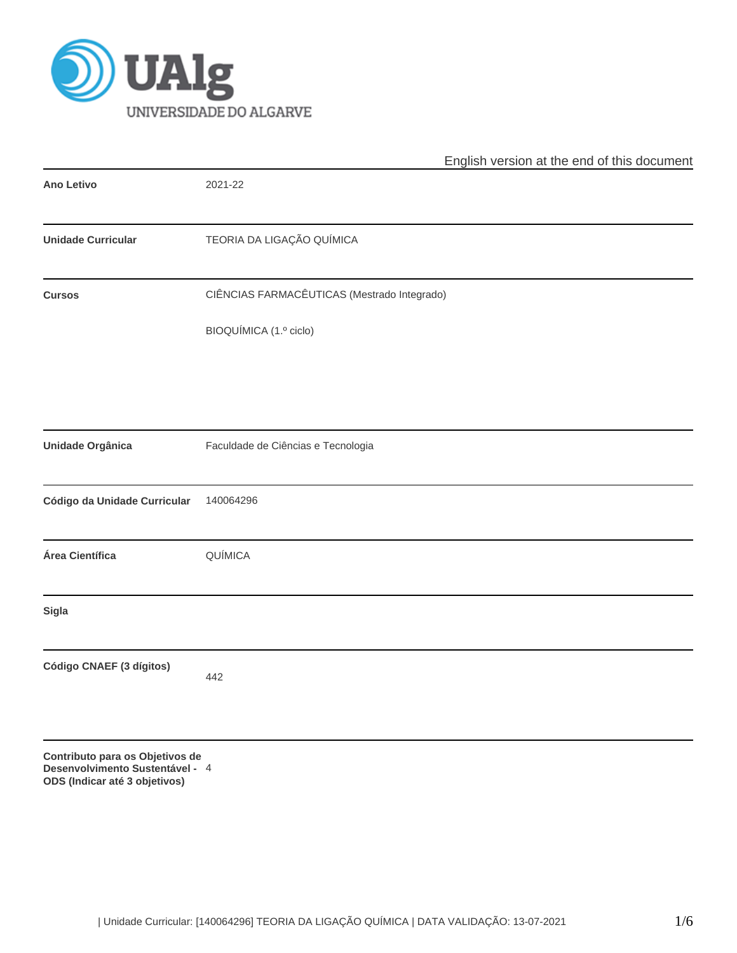

|                                                                                                     | English version at the end of this document |
|-----------------------------------------------------------------------------------------------------|---------------------------------------------|
| <b>Ano Letivo</b>                                                                                   | 2021-22                                     |
| <b>Unidade Curricular</b>                                                                           | TEORIA DA LIGAÇÃO QUÍMICA                   |
| <b>Cursos</b>                                                                                       | CIÊNCIAS FARMACÊUTICAS (Mestrado Integrado) |
|                                                                                                     | BIOQUÍMICA (1.º ciclo)                      |
|                                                                                                     |                                             |
| <b>Unidade Orgânica</b>                                                                             | Faculdade de Ciências e Tecnologia          |
| Código da Unidade Curricular                                                                        | 140064296                                   |
| Área Científica                                                                                     | QUÍMICA                                     |
| Sigla                                                                                               |                                             |
| Código CNAEF (3 dígitos)                                                                            | 442                                         |
| Contributo para os Objetivos de<br>Desenvolvimento Sustentável - 4<br>ODS (Indicar até 3 objetivos) |                                             |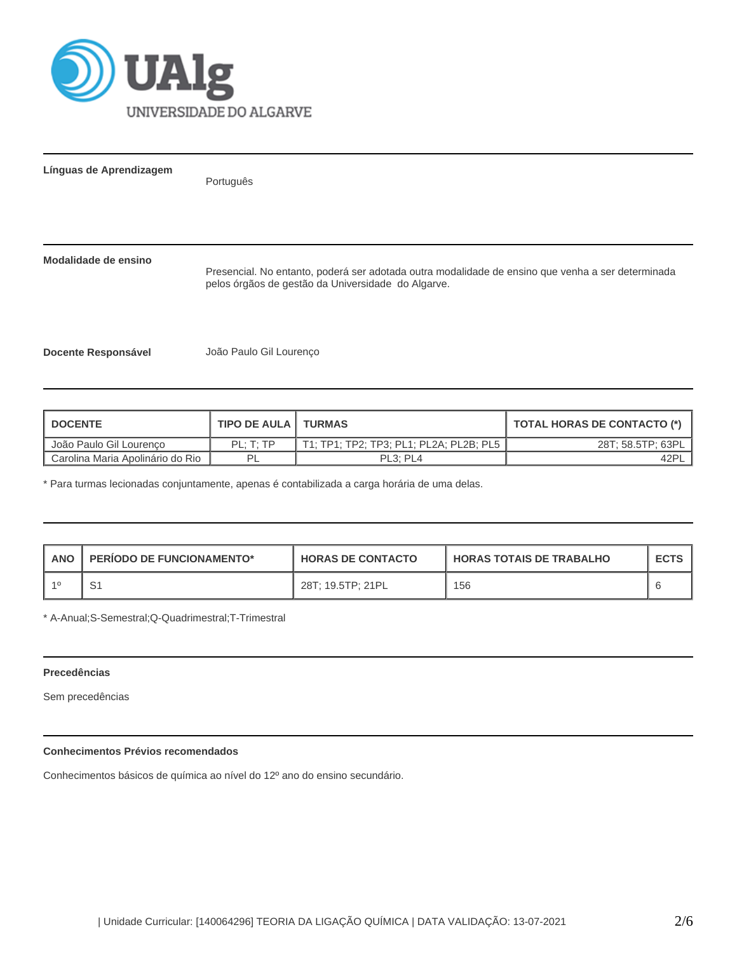

**Línguas de Aprendizagem**

Português

# **Modalidade de ensino**

Presencial. No entanto, poderá ser adotada outra modalidade de ensino que venha a ser determinada pelos órgãos de gestão da Universidade do Algarve.

**Docente Responsável** João Paulo Gil Lourenço

| <b>I DOCENTE</b>                   | <b>TIPO DE AULA   TURMAS</b> |                                   | <b>TOTAL HORAS DE CONTACTO (*)</b> |
|------------------------------------|------------------------------|-----------------------------------|------------------------------------|
| João Paulo Gil Lourenco            | PL: T: TP                    |                                   | 28T; 58.5TP; 63PL                  |
| L Carolina Maria Apolinário do Rio | ΡI                           | PL <sub>3</sub> : PL <sub>4</sub> | 42PL                               |

\* Para turmas lecionadas conjuntamente, apenas é contabilizada a carga horária de uma delas.

| ANO | <b>PERIODO DE FUNCIONAMENTO*</b> | <b>HORAS DE CONTACTO</b> | <b>HORAS TOTAIS DE TRABALHO</b> | <b>ECTS</b> |
|-----|----------------------------------|--------------------------|---------------------------------|-------------|
|     |                                  | 28T: 19.5TP: 21PL        | 156                             |             |

\* A-Anual;S-Semestral;Q-Quadrimestral;T-Trimestral

## **Precedências**

Sem precedências

# **Conhecimentos Prévios recomendados**

Conhecimentos básicos de química ao nível do 12º ano do ensino secundário.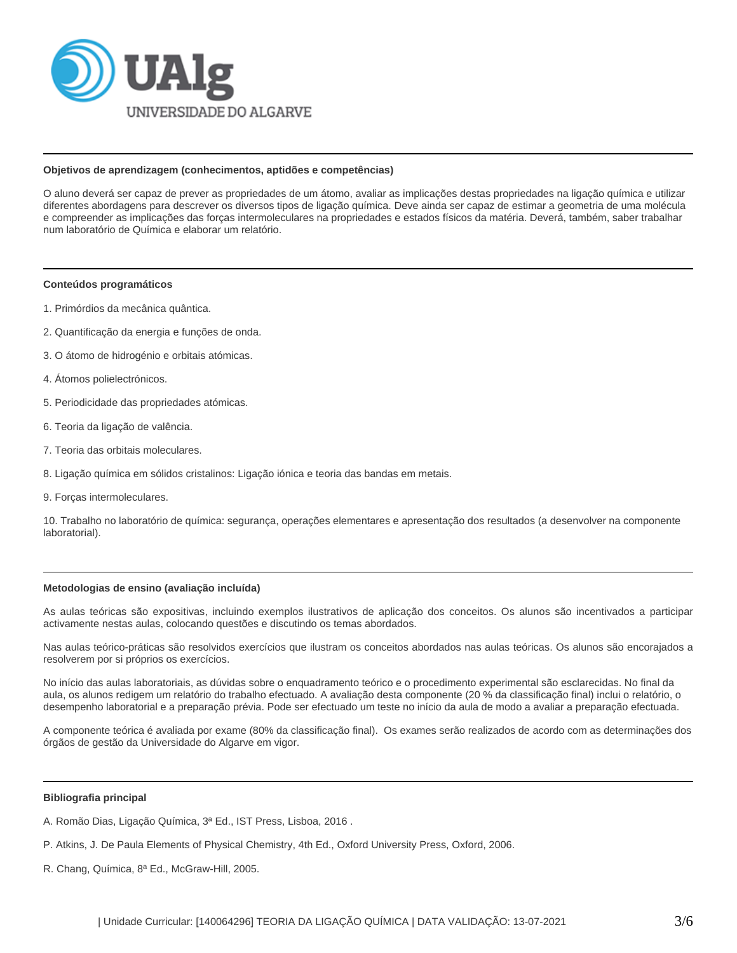

## **Objetivos de aprendizagem (conhecimentos, aptidões e competências)**

O aluno deverá ser capaz de prever as propriedades de um átomo, avaliar as implicações destas propriedades na ligação química e utilizar diferentes abordagens para descrever os diversos tipos de ligação química. Deve ainda ser capaz de estimar a geometria de uma molécula e compreender as implicações das forças intermoleculares na propriedades e estados físicos da matéria. Deverá, também, saber trabalhar num laboratório de Química e elaborar um relatório.

#### **Conteúdos programáticos**

- 1. Primórdios da mecânica quântica.
- 2. Quantificação da energia e funções de onda.
- 3. O átomo de hidrogénio e orbitais atómicas.
- 4. Átomos polielectrónicos.
- 5. Periodicidade das propriedades atómicas.
- 6. Teoria da ligação de valência.
- 7. Teoria das orbitais moleculares.
- 8. Ligação química em sólidos cristalinos: Ligação iónica e teoria das bandas em metais.
- 9. Forças intermoleculares.

10. Trabalho no laboratório de química: segurança, operações elementares e apresentação dos resultados (a desenvolver na componente laboratorial).

## **Metodologias de ensino (avaliação incluída)**

As aulas teóricas são expositivas, incluindo exemplos ilustrativos de aplicação dos conceitos. Os alunos são incentivados a participar activamente nestas aulas, colocando questões e discutindo os temas abordados.

Nas aulas teórico-práticas são resolvidos exercícios que ilustram os conceitos abordados nas aulas teóricas. Os alunos são encorajados a resolverem por si próprios os exercícios.

No início das aulas laboratoriais, as dúvidas sobre o enquadramento teórico e o procedimento experimental são esclarecidas. No final da aula, os alunos redigem um relatório do trabalho efectuado. A avaliação desta componente (20 % da classificação final) inclui o relatório, o desempenho laboratorial e a preparação prévia. Pode ser efectuado um teste no início da aula de modo a avaliar a preparação efectuada.

A componente teórica é avaliada por exame (80% da classificação final). Os exames serão realizados de acordo com as determinações dos órgãos de gestão da Universidade do Algarve em vigor.

#### **Bibliografia principal**

A. Romão Dias, Ligação Química, 3ª Ed., IST Press, Lisboa, 2016 .

- P. Atkins, J. De Paula Elements of Physical Chemistry, 4th Ed., Oxford University Press, Oxford, 2006.
- R. Chang, Química, 8ª Ed., McGraw-Hill, 2005.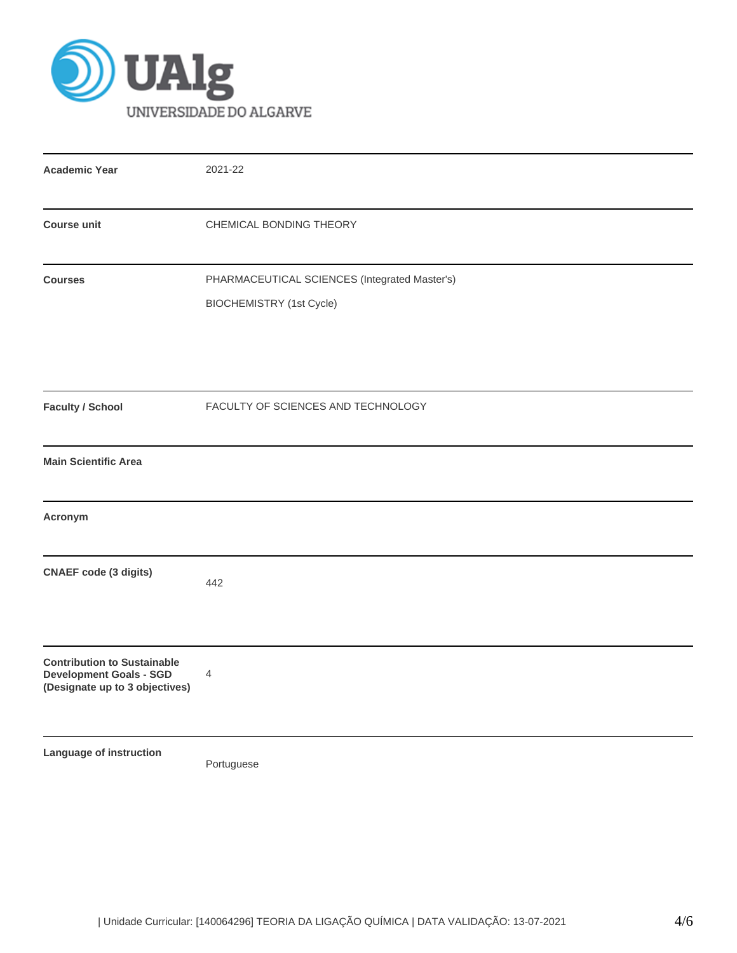

| <b>Academic Year</b>                                                                                   | 2021-22                                                                          |
|--------------------------------------------------------------------------------------------------------|----------------------------------------------------------------------------------|
| <b>Course unit</b>                                                                                     | CHEMICAL BONDING THEORY                                                          |
| <b>Courses</b>                                                                                         | PHARMACEUTICAL SCIENCES (Integrated Master's)<br><b>BIOCHEMISTRY</b> (1st Cycle) |
| <b>Faculty / School</b>                                                                                | FACULTY OF SCIENCES AND TECHNOLOGY                                               |
| <b>Main Scientific Area</b>                                                                            |                                                                                  |
| Acronym                                                                                                |                                                                                  |
| <b>CNAEF</b> code (3 digits)                                                                           | 442                                                                              |
| <b>Contribution to Sustainable</b><br><b>Development Goals - SGD</b><br>(Designate up to 3 objectives) | 4                                                                                |
| Language of instruction                                                                                | Portuguese                                                                       |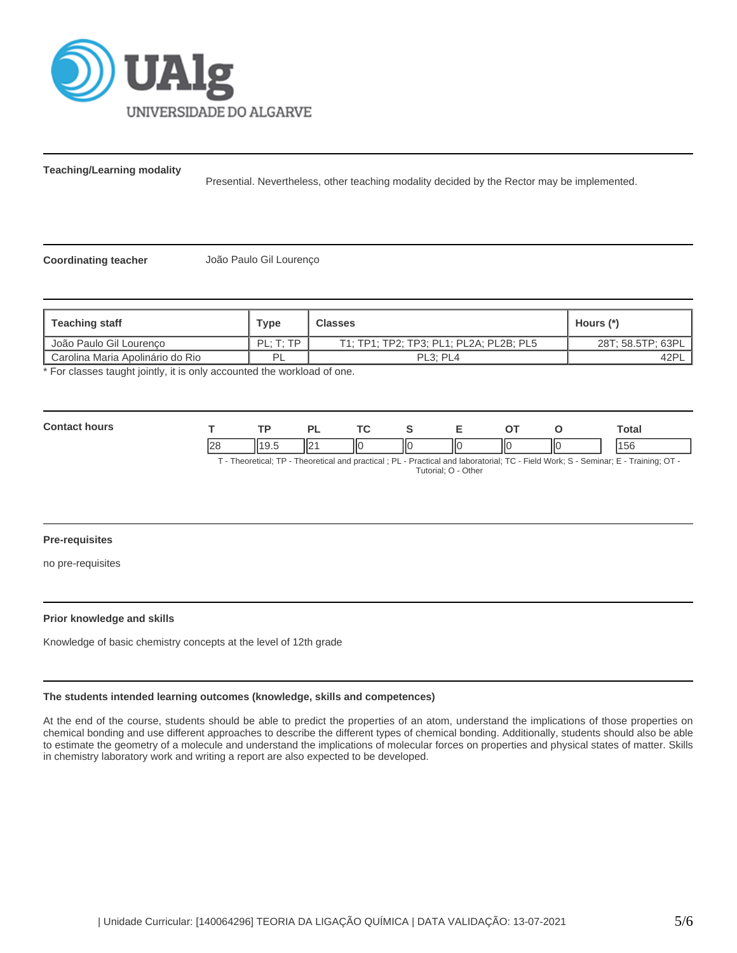

**Teaching/Learning modality**

Presential. Nevertheless, other teaching modality decided by the Rector may be implemented.

**Coordinating teacher** João Paulo Gil Lourenço

| <b>Teaching staff</b>            | Type       | <b>Classes</b>                          | Hours (*)         |
|----------------------------------|------------|-----------------------------------------|-------------------|
| João Paulo Gil Lourenco          | PI · T· TP | T1; TP1; TP2; TP3; PL1; PL2A; PL2B; PL5 | 28T; 58.5TP; 63PL |
| Carolina Maria Apolinário do Rio | PI         | PL <sub>3</sub> : PL <sub>4</sub>       | 42PL              |

\* For classes taught jointly, it is only accounted the workload of one.

| Con<br><b>si i ire</b><br>$ -$ |   |     | ורז | T.C |    |    |    |    | Total     |
|--------------------------------|---|-----|-----|-----|----|----|----|----|-----------|
|                                | ~ | . . | ll2 | ''  | ШΟ | IІ | НΟ | IЮ | AEC<br>эt |

T - Theoretical; TP - Theoretical and practical ; PL - Practical and laboratorial; TC - Field Work; S - Seminar; E - Training; OT - Tutorial; O - Other

## **Pre-requisites**

no pre-requisites

## **Prior knowledge and skills**

Knowledge of basic chemistry concepts at the level of 12th grade

## **The students intended learning outcomes (knowledge, skills and competences)**

At the end of the course, students should be able to predict the properties of an atom, understand the implications of those properties on chemical bonding and use different approaches to describe the different types of chemical bonding. Additionally, students should also be able to estimate the geometry of a molecule and understand the implications of molecular forces on properties and physical states of matter. Skills in chemistry laboratory work and writing a report are also expected to be developed.